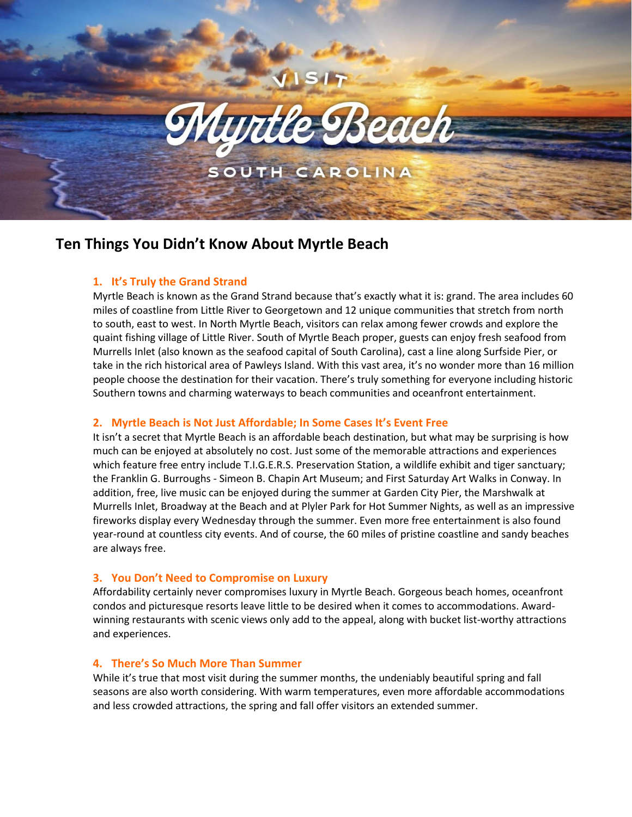

# **Ten Things You Didn't Know About Myrtle Beach**

# **1. It's Truly the Grand Strand**

Myrtle Beach is known as the Grand Strand because that's exactly what it is: grand. The area includes 60 miles of coastline from Little River to Georgetown and 12 unique communities that stretch from north to south, east to west. In North Myrtle Beach, visitors can relax among fewer crowds and explore the quaint fishing village of Little River. South of Myrtle Beach proper, guests can enjoy fresh seafood from Murrells Inlet (also known as the seafood capital of South Carolina), cast a line along Surfside Pier, or take in the rich historical area of Pawleys Island. With this vast area, it's no wonder more than 16 million people choose the destination for their vacation. There's truly something for everyone including historic Southern towns and charming waterways to beach communities and oceanfront entertainment.

# **2. Myrtle Beach is Not Just Affordable; In Some Cases It's Event Free**

It isn't a secret that Myrtle Beach is an affordable beach destination, but what may be surprising is how much can be enjoyed at absolutely no cost. Just some of the memorable attractions and experiences which feature free entry include T.I.G.E.R.S. Preservation Station, a wildlife exhibit and tiger sanctuary; the Franklin G. Burroughs - Simeon B. Chapin Art Museum; and First Saturday Art Walks in Conway. In addition, free, live music can be enjoyed during the summer at Garden City Pier, the Marshwalk at Murrells Inlet, Broadway at the Beach and at Plyler Park for Hot Summer Nights, as well as an impressive fireworks display every Wednesday through the summer. Even more free entertainment is also found year-round at countless city events. And of course, the 60 miles of pristine coastline and sandy beaches are always free.

# **3. You Don't Need to Compromise on Luxury**

Affordability certainly never compromises luxury in Myrtle Beach. Gorgeous beach homes, oceanfront condos and picturesque resorts leave little to be desired when it comes to accommodations. Awardwinning restaurants with scenic views only add to the appeal, along with bucket list-worthy attractions and experiences.

## **4. There's So Much More Than Summer**

While it's true that most visit during the summer months, the undeniably beautiful spring and fall seasons are also worth considering. With warm temperatures, even more affordable accommodations and less crowded attractions, the spring and fall offer visitors an extended summer.